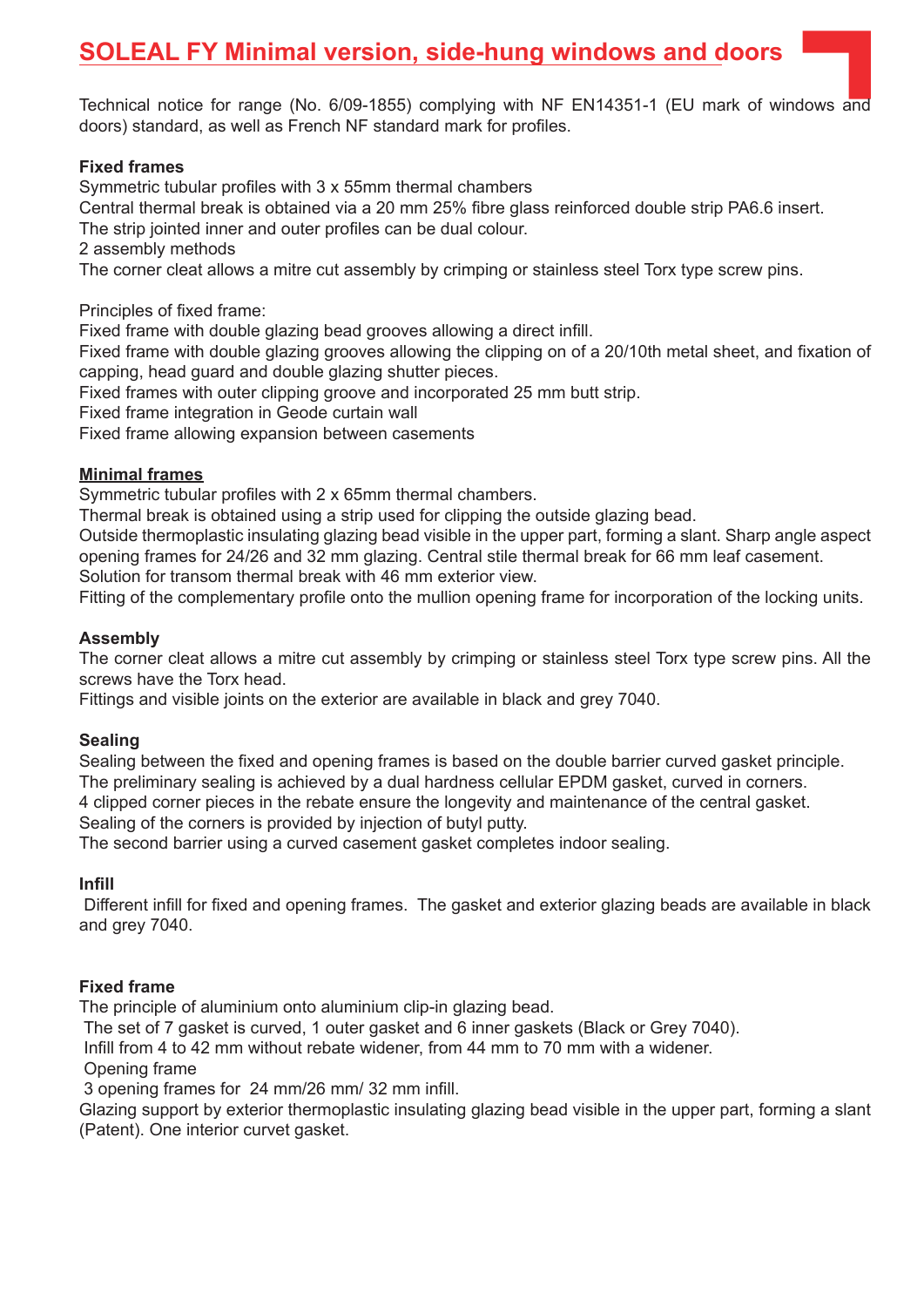# **SOLEAL FY Minimal version, side-hung windows and doors**

Technical notice for range (No. 6/09-1855) complying with NF EN14351-1 (EU mark of windows and doors) standard, as well as French NF standard mark for profiles.

#### **Fixed frames**

Symmetric tubular profiles with 3 x 55mm thermal chambers

Central thermal break is obtained via a 20 mm 25% fibre glass reinforced double strip PA6.6 insert.

The strip jointed inner and outer profiles can be dual colour.

2 assembly methods

The corner cleat allows a mitre cut assembly by crimping or stainless steel Torx type screw pins.

Principles of fixed frame:

Fixed frame with double glazing bead grooves allowing a direct infill.

Fixed frame with double glazing grooves allowing the clipping on of a 20/10th metal sheet, and fixation of capping, head guard and double glazing shutter pieces.

Fixed frames with outer clipping groove and incorporated 25 mm butt strip.

Fixed frame integration in Geode curtain wall

Fixed frame allowing expansion between casements

#### **Minimal frames**

Symmetric tubular profiles with 2 x 65mm thermal chambers.

Thermal break is obtained using a strip used for clipping the outside glazing bead.

Outside thermoplastic insulating glazing bead visible in the upper part, forming a slant. Sharp angle aspect opening frames for 24/26 and 32 mm glazing. Central stile thermal break for 66 mm leaf casement.

Solution for transom thermal break with 46 mm exterior view.

Fitting of the complementary profile onto the mullion opening frame for incorporation of the locking units.

#### **Assembly**

The corner cleat allows a mitre cut assembly by crimping or stainless steel Torx type screw pins. All the screws have the Torx head.

Fittings and visible joints on the exterior are available in black and grey 7040.

#### **Sealing**

Sealing between the fixed and opening frames is based on the double barrier curved gasket principle. The preliminary sealing is achieved by a dual hardness cellular EPDM gasket, curved in corners.

4 clipped corner pieces in the rebate ensure the longevity and maintenance of the central gasket. Sealing of the corners is provided by injection of butyl putty.

The second barrier using a curved casement gasket completes indoor sealing.

#### **Infill**

 Different infill for fixed and opening frames. The gasket and exterior glazing beads are available in black and grey 7040.

#### **Fixed frame**

The principle of aluminium onto aluminium clip-in glazing bead.

The set of 7 gasket is curved, 1 outer gasket and 6 inner gaskets (Black or Grey 7040).

Infill from 4 to 42 mm without rebate widener, from 44 mm to 70 mm with a widener.

Opening frame

3 opening frames for 24 mm/26 mm/ 32 mm infill.

Glazing support by exterior thermoplastic insulating glazing bead visible in the upper part, forming a slant (Patent). One interior curvet gasket.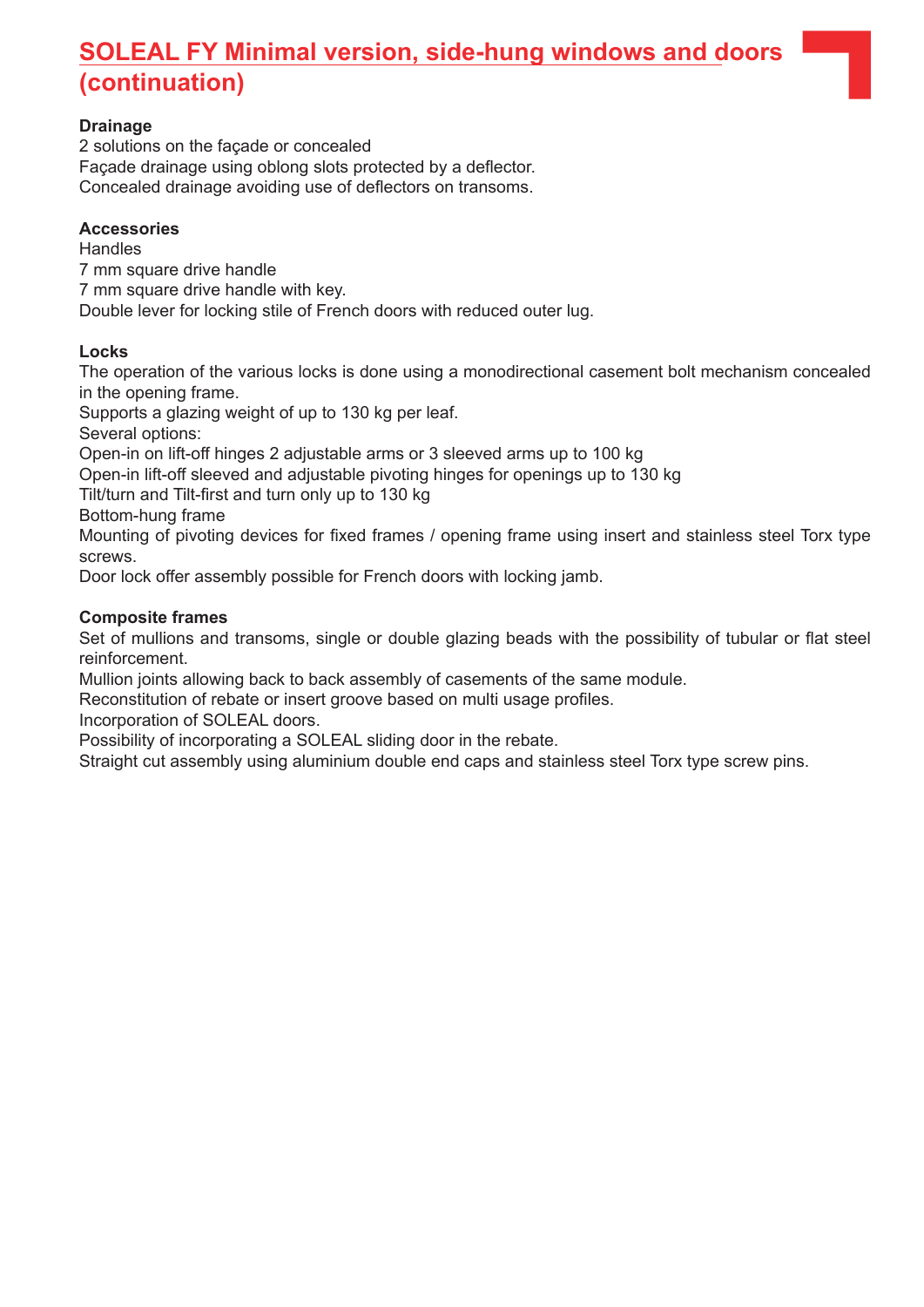# **SOLEAL FY Minimal version, side-hung windows and doors (continuation)**

## **Drainage**

2 solutions on the façade or concealed Façade drainage using oblong slots protected by a deflector. Concealed drainage avoiding use of deflectors on transoms.

#### **Accessories**

**Handles** 7 mm square drive handle 7 mm square drive handle with key. Double lever for locking stile of French doors with reduced outer lug.

## **Locks**

The operation of the various locks is done using a monodirectional casement bolt mechanism concealed in the opening frame.

Supports a glazing weight of up to 130 kg per leaf.

Several options:

Open-in on lift-off hinges 2 adjustable arms or 3 sleeved arms up to 100 kg

Open-in lift-off sleeved and adjustable pivoting hinges for openings up to 130 kg

Tilt/turn and Tilt-first and turn only up to 130 kg

Bottom-hung frame

Mounting of pivoting devices for fixed frames / opening frame using insert and stainless steel Torx type screws.

Door lock offer assembly possible for French doors with locking jamb.

## **Composite frames**

Set of mullions and transoms, single or double glazing beads with the possibility of tubular or flat steel reinforcement.

Mullion joints allowing back to back assembly of casements of the same module.

Reconstitution of rebate or insert groove based on multi usage profiles.

Incorporation of SOLEAL doors.

Possibility of incorporating a SOLEAL sliding door in the rebate.

Straight cut assembly using aluminium double end caps and stainless steel Torx type screw pins.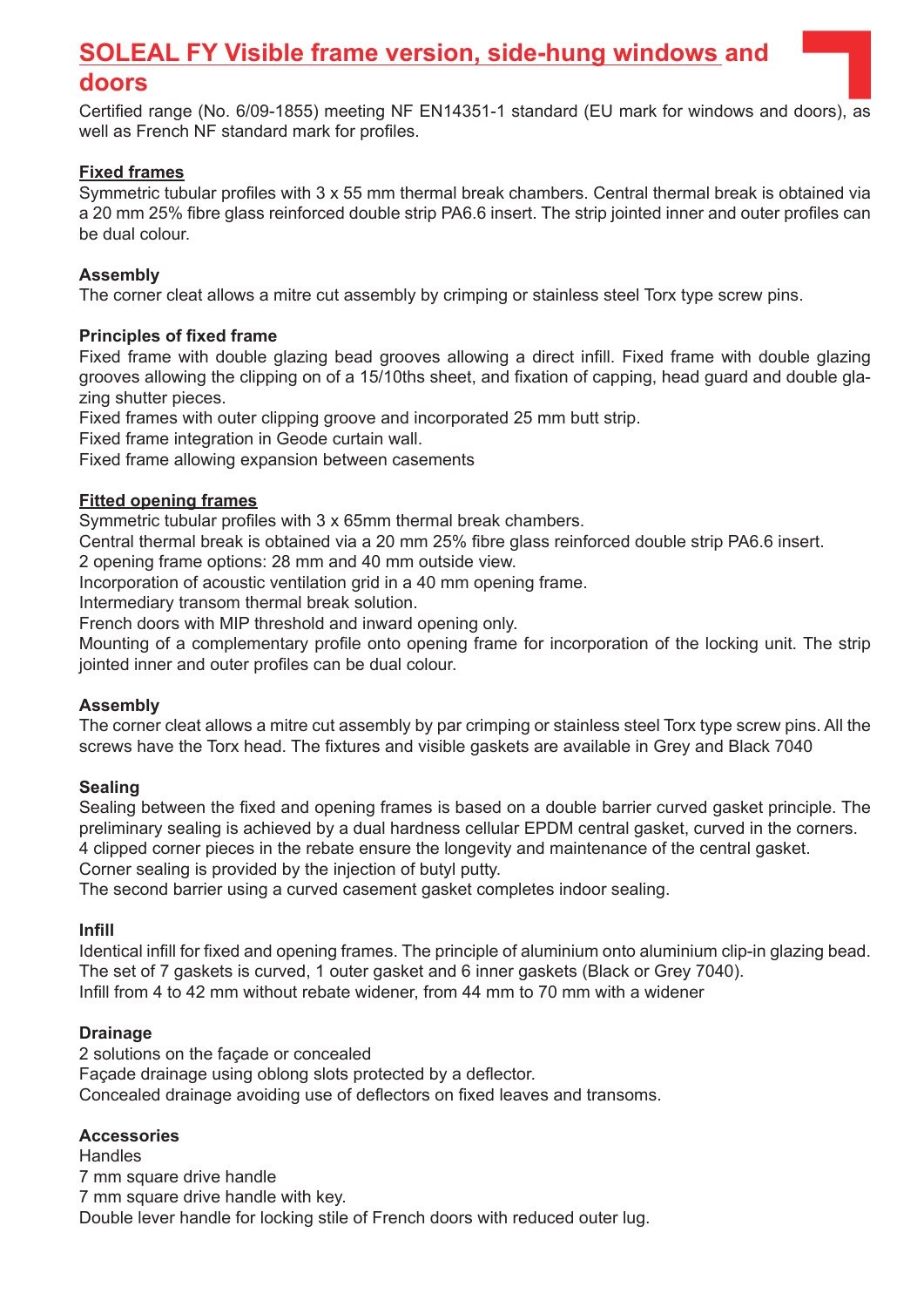# **SOLEAL FY Visible frame version, side-hung windows and**

# **doors**

Certified range (No. 6/09-1855) meeting NF EN14351-1 standard (EU mark for windows and doors), as well as French NF standard mark for profiles.

# **Fixed frames**

Symmetric tubular profiles with 3 x 55 mm thermal break chambers. Central thermal break is obtained via a 20 mm 25% fibre glass reinforced double strip PA6.6 insert. The strip jointed inner and outer profiles can be dual colour.

## **Assembly**

The corner cleat allows a mitre cut assembly by crimping or stainless steel Torx type screw pins.

## **Principles of fixed frame**

Fixed frame with double glazing bead grooves allowing a direct infill. Fixed frame with double glazing grooves allowing the clipping on of a 15/10ths sheet, and fixation of capping, head guard and double glazing shutter pieces.

Fixed frames with outer clipping groove and incorporated 25 mm butt strip.

Fixed frame integration in Geode curtain wall.

Fixed frame allowing expansion between casements

## **Fitted opening frames**

Symmetric tubular profiles with 3 x 65mm thermal break chambers.

Central thermal break is obtained via a 20 mm 25% fibre glass reinforced double strip PA6.6 insert.

2 opening frame options: 28 mm and 40 mm outside view.

Incorporation of acoustic ventilation grid in a 40 mm opening frame.

Intermediary transom thermal break solution.

French doors with MIP threshold and inward opening only.

Mounting of a complementary profile onto opening frame for incorporation of the locking unit. The strip jointed inner and outer profiles can be dual colour.

#### **Assembly**

The corner cleat allows a mitre cut assembly by par crimping or stainless steel Torx type screw pins. All the screws have the Torx head. The fixtures and visible gaskets are available in Grey and Black 7040

#### **Sealing**

Sealing between the fixed and opening frames is based on a double barrier curved gasket principle. The preliminary sealing is achieved by a dual hardness cellular EPDM central gasket, curved in the corners. 4 clipped corner pieces in the rebate ensure the longevity and maintenance of the central gasket. Corner sealing is provided by the injection of butyl putty.

The second barrier using a curved casement gasket completes indoor sealing.

#### **Infill**

Identical infill for fixed and opening frames. The principle of aluminium onto aluminium clip-in glazing bead. The set of 7 gaskets is curved, 1 outer gasket and 6 inner gaskets (Black or Grey 7040). Infill from 4 to 42 mm without rebate widener, from 44 mm to 70 mm with a widener

#### **Drainage**

2 solutions on the façade or concealed Façade drainage using oblong slots protected by a deflector. Concealed drainage avoiding use of deflectors on fixed leaves and transoms.

#### **Accessories**

**Handles** 7 mm square drive handle 7 mm square drive handle with key. Double lever handle for locking stile of French doors with reduced outer lug.